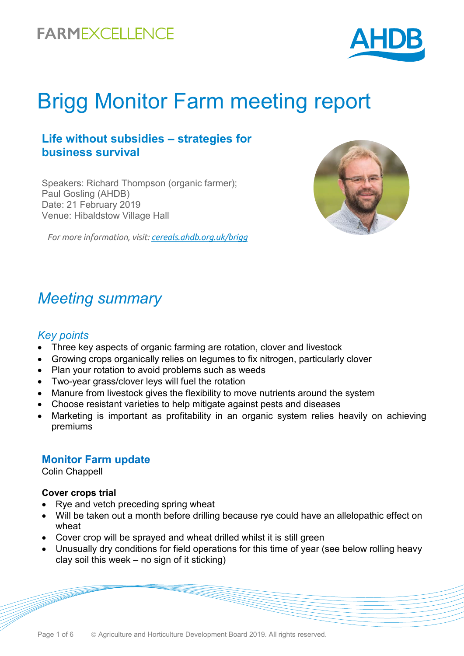

# Brigg Monitor Farm meeting report

### **Life without subsidies – strategies for business survival**

Speakers: Richard Thompson (organic farmer); Paul Gosling (AHDB) Date: 21 February 2019 Venue: Hibaldstow Village Hall

*For more information, visit: [cereals.ahdb.org.uk/brigg](https://cereals.ahdb.org.uk/get-involved/monitorfarms/brigg-monitor-farm.aspx)*



### *Meeting summary*

#### *Key points*

- Three key aspects of organic farming are rotation, clover and livestock
- Growing crops organically relies on legumes to fix nitrogen, particularly clover
- Plan your rotation to avoid problems such as weeds
- Two-year grass/clover leys will fuel the rotation
- Manure from livestock gives the flexibility to move nutrients around the system
- Choose resistant varieties to help mitigate against pests and diseases
- Marketing is important as profitability in an organic system relies heavily on achieving premiums

#### **Monitor Farm update**

Colin Chappell

#### **Cover crops trial**

- Rye and vetch preceding spring wheat
- Will be taken out a month before drilling because rye could have an allelopathic effect on wheat
- Cover crop will be sprayed and wheat drilled whilst it is still green
- Unusually dry conditions for field operations for this time of year (see below rolling heavy clay soil this week – no sign of it sticking)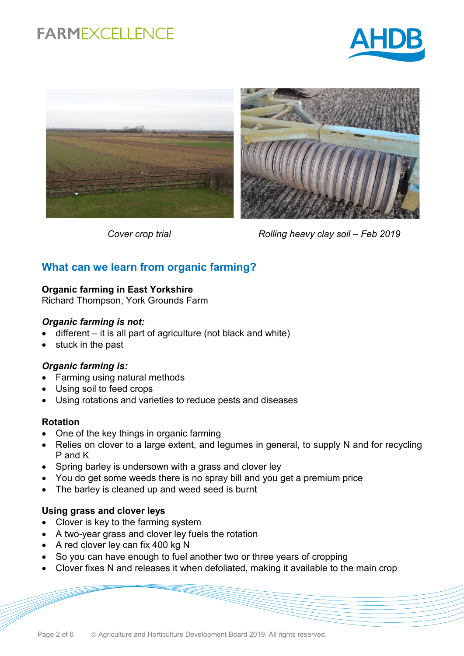





*Cover crop trial Rolling heavy clay soil – Feb 2019*

### **What can we learn from organic farming?**

#### **Organic farming in East Yorkshire**

Richard Thompson, York Grounds Farm

#### *Organic farming is not:*

- different it is all part of agriculture (not black and white)
- stuck in the past

#### *Organic farming is:*

- Farming using natural methods
- Using soil to feed crops
- Using rotations and varieties to reduce pests and diseases

#### **Rotation**

- One of the key things in organic farming
- Relies on clover to a large extent, and legumes in general, to supply N and for recycling P and K
- Spring barley is undersown with a grass and clover ley
- You do get some weeds there is no spray bill and you get a premium price
- The barley is cleaned up and weed seed is burnt

#### **Using grass and clover leys**

- Clover is key to the farming system
- A two-year grass and clover ley fuels the rotation
- A red clover ley can fix 400 kg N
- So you can have enough to fuel another two or three years of cropping
- Clover fixes N and releases it when defoliated, making it available to the main crop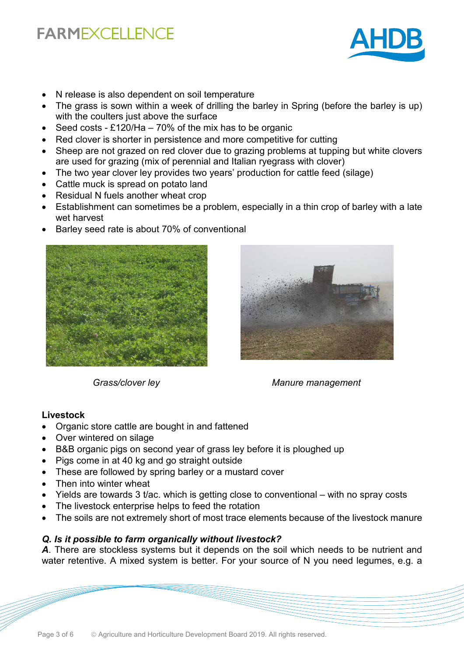

- N release is also dependent on soil temperature
- The grass is sown within a week of drilling the barley in Spring (before the barley is up) with the coulters just above the surface
- Seed costs £120/Ha  $-70\%$  of the mix has to be organic
- Red clover is shorter in persistence and more competitive for cutting
- Sheep are not grazed on red clover due to grazing problems at tupping but white clovers are used for grazing (mix of perennial and Italian ryegrass with clover)
- The two year clover ley provides two years' production for cattle feed (silage)
- Cattle muck is spread on potato land
- Residual N fuels another wheat crop
- Establishment can sometimes be a problem, especially in a thin crop of barley with a late wet harvest
- Barley seed rate is about 70% of conventional





*Grass/clover ley Manure management*

#### **Livestock**

- Organic store cattle are bought in and fattened
- Over wintered on silage
- B&B organic pigs on second year of grass ley before it is ploughed up
- Pigs come in at 40 kg and go straight outside
- These are followed by spring barley or a mustard cover
- Then into winter wheat
- Yields are towards 3 t/ac. which is getting close to conventional with no spray costs
- The livestock enterprise helps to feed the rotation
- The soils are not extremely short of most trace elements because of the livestock manure

#### *Q. Is it possible to farm organically without livestock?*

*A*. There are stockless systems but it depends on the soil which needs to be nutrient and water retentive. A mixed system is better. For your source of N you need legumes, e.g. a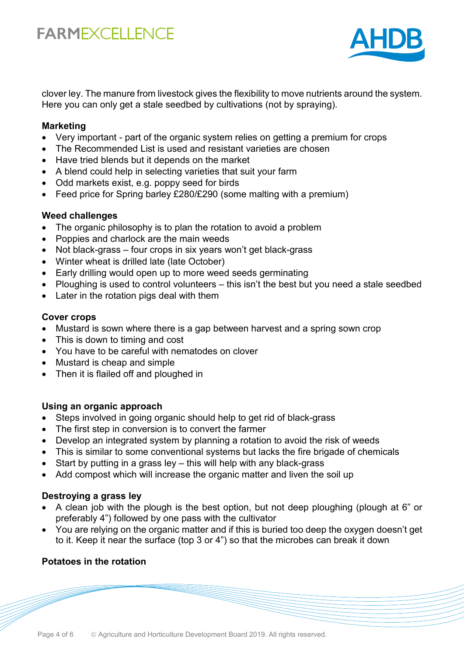

clover ley. The manure from livestock gives the flexibility to move nutrients around the system. Here you can only get a stale seedbed by cultivations (not by spraying).

#### **Marketing**

- Very important part of the organic system relies on getting a premium for crops
- The Recommended List is used and resistant varieties are chosen
- Have tried blends but it depends on the market
- A blend could help in selecting varieties that suit your farm
- Odd markets exist, e.g. poppy seed for birds
- Feed price for Spring barley £280/£290 (some malting with a premium)

#### **Weed challenges**

- The organic philosophy is to plan the rotation to avoid a problem
- Poppies and charlock are the main weeds
- Not black-grass four crops in six years won't get black-grass
- Winter wheat is drilled late (late October)
- Early drilling would open up to more weed seeds germinating
- Ploughing is used to control volunteers this isn't the best but you need a stale seedbed
- Later in the rotation pigs deal with them

#### **Cover crops**

- Mustard is sown where there is a gap between harvest and a spring sown crop
- This is down to timing and cost
- You have to be careful with nematodes on clover
- Mustard is cheap and simple
- Then it is flailed off and ploughed in

#### **Using an organic approach**

- Steps involved in going organic should help to get rid of black-grass
- The first step in conversion is to convert the farmer
- Develop an integrated system by planning a rotation to avoid the risk of weeds
- This is similar to some conventional systems but lacks the fire brigade of chemicals
- Start by putting in a grass ley this will help with any black-grass
- Add compost which will increase the organic matter and liven the soil up

#### **Destroying a grass ley**

- A clean job with the plough is the best option, but not deep ploughing (plough at 6" or preferably 4") followed by one pass with the cultivator
- You are relying on the organic matter and if this is buried too deep the oxygen doesn't get to it. Keep it near the surface (top 3 or 4") so that the microbes can break it down

#### **Potatoes in the rotation**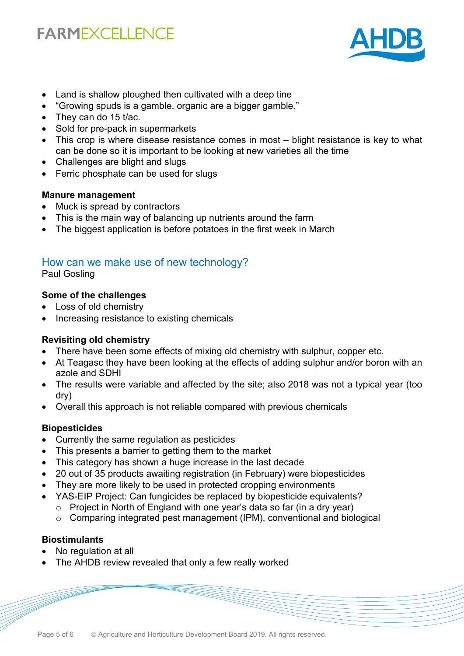

- Land is shallow ploughed then cultivated with a deep tine
- "Growing spuds is a gamble, organic are a bigger gamble."
- They can do 15 t/ac.
- Sold for pre-pack in supermarkets
- This crop is where disease resistance comes in most blight resistance is key to what can be done so it is important to be looking at new varieties all the time
- Challenges are blight and slugs
- Ferric phosphate can be used for slugs

#### **Manure management**

- Muck is spread by contractors
- This is the main way of balancing up nutrients around the farm
- The biggest application is before potatoes in the first week in March

### How can we make use of new technology?

Paul Gosling

#### **Some of the challenges**

- Loss of old chemistry
- Increasing resistance to existing chemicals

#### **Revisiting old chemistry**

- There have been some effects of mixing old chemistry with sulphur, copper etc.
- At Teagasc they have been looking at the effects of adding sulphur and/or boron with an azole and SDHI
- The results were variable and affected by the site; also 2018 was not a typical year (too dry)
- Overall this approach is not reliable compared with previous chemicals

#### **Biopesticides**

- Currently the same regulation as pesticides
- This presents a barrier to getting them to the market
- This category has shown a huge increase in the last decade
- 20 out of 35 products awaiting registration (in February) were biopesticides
- They are more likely to be used in protected cropping environments
- YAS-EIP Project: Can fungicides be replaced by biopesticide equivalents?
	- o Project in North of England with one year's data so far (in a dry year)
	- o Comparing integrated pest management (IPM), conventional and biological

#### **Biostimulants**

- No regulation at all
- The AHDB review revealed that only a few really worked